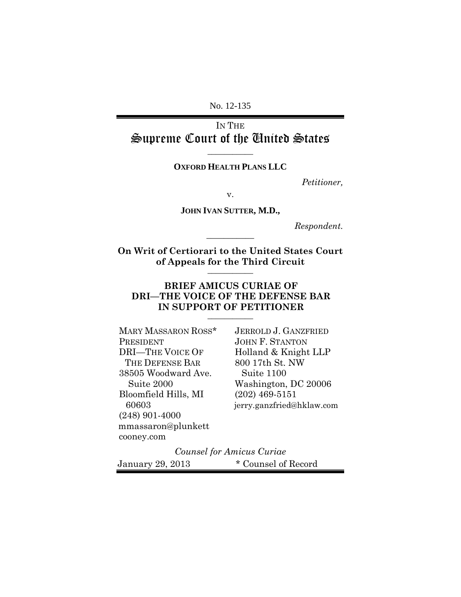No. 12-135

IN THE Supreme Court of the United States

**\_\_\_\_\_\_\_\_\_\_\_**

#### **OXFORD HEALTH PLANS LLC**

*Petitioner,*

v.

**JOHN IVAN SUTTER, M.D.,**

*Respondent.*

**On Writ of Certiorari to the United States Court of Appeals for the Third Circuit \_\_\_\_\_\_\_\_\_\_\_**

**\_\_\_\_\_\_\_\_\_\_\_**

#### **BRIEF AMICUS CURIAE OF DRI—THE VOICE OF THE DEFENSE BAR IN SUPPORT OF PETITIONER \_\_\_\_\_\_\_\_\_\_\_**

| MARY MASSARON ROSS*     | <b>JERROLD J. GANZFRIED</b> |
|-------------------------|-----------------------------|
| PRESIDENT               | <b>JOHN F. STANTON</b>      |
| <b>DRI-THE VOICE OF</b> | Holland & Knight LLP        |
| THE DEFENSE BAR         | 800 17th St. NW             |
| 38505 Woodward Ave.     | Suite 1100                  |
| Suite 2000              | Washington, DC 20006        |
| Bloomfield Hills, MI    | $(202)$ 469-5151            |
| 60603                   | jerry.ganzfried@hklaw.com   |
| $(248)$ 901-4000        |                             |
| mmassaron@plunkett      |                             |
| cooney.com              |                             |

#### *Counsel for Amicus Curiae*

January 29, 2013 \* Counsel of Record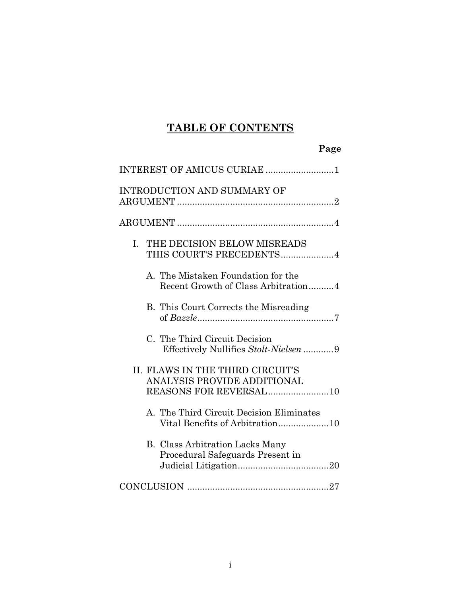# **TABLE OF CONTENTS**

| Page                                                                                       |
|--------------------------------------------------------------------------------------------|
| INTEREST OF AMICUS CURIAE 1                                                                |
| INTRODUCTION AND SUMMARY OF                                                                |
|                                                                                            |
| THE DECISION BELOW MISREADS<br>$I_{\cdot}$<br>THIS COURT'S PRECEDENTS4                     |
| A. The Mistaken Foundation for the<br>Recent Growth of Class Arbitration4                  |
| B. This Court Corrects the Misreading                                                      |
| C. The Third Circuit Decision<br>Effectively Nullifies Stolt-Nielsen 9                     |
| II. FLAWS IN THE THIRD CIRCUIT'S<br>ANALYSIS PROVIDE ADDITIONAL<br>REASONS FOR REVERSAL 10 |
| A. The Third Circuit Decision Eliminates<br>Vital Benefits of Arbitration10                |
| <b>B.</b> Class Arbitration Lacks Many<br>Procedural Safeguards Present in                 |
|                                                                                            |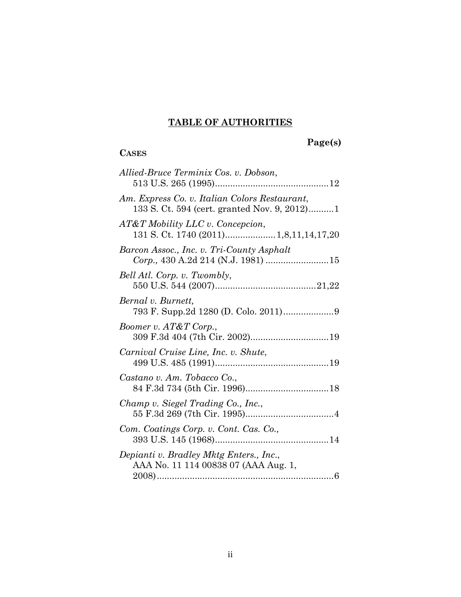# **TABLE OF AUTHORITIES**

# **Page(s)**

# **CASES**

| Allied-Bruce Terminix Cos. v. Dobson,                                                         |
|-----------------------------------------------------------------------------------------------|
| Am. Express Co. v. Italian Colors Restaurant,<br>133 S. Ct. 594 (cert. granted Nov. 9, 2012)1 |
| AT&T Mobility LLC v. Concepcion,<br>131 S. Ct. 1740 (2011) 1,8,11,14,17,20                    |
| Barcon Assoc., Inc. v. Tri-County Asphalt<br>Corp., 430 A.2d 214 (N.J. 1981) 15               |
| Bell Atl. Corp. v. Twombly,                                                                   |
| Bernal v. Burnett,                                                                            |
| Boomer v. AT&T Corp.,                                                                         |
| Carnival Cruise Line, Inc. v. Shute,                                                          |
| Castano v. Am. Tobacco Co.,                                                                   |
| Champ v. Siegel Trading Co., Inc.,                                                            |
| Com. Coatings Corp. v. Cont. Cas. Co.,                                                        |
| Depianti v. Bradley Mktg Enters., Inc.,<br>AAA No. 11 114 00838 07 (AAA Aug. 1,               |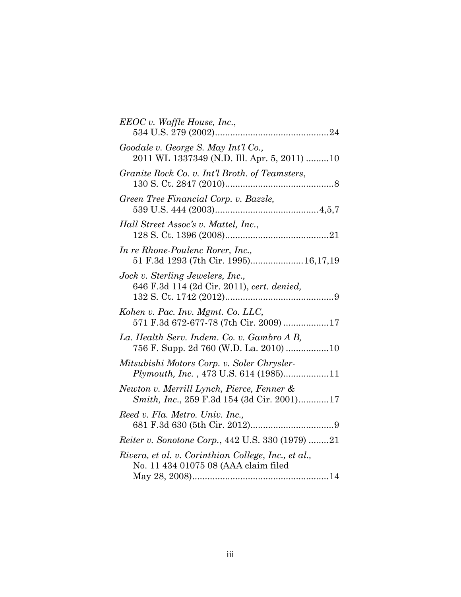| EEOC v. Waffle House, Inc.,                                                                 |
|---------------------------------------------------------------------------------------------|
| Goodale v. George S. May Int'l Co.,<br>2011 WL 1337349 (N.D. Ill. Apr. 5, 2011) 10          |
| Granite Rock Co. v. Int'l Broth. of Teamsters,                                              |
| Green Tree Financial Corp. v. Bazzle,                                                       |
| Hall Street Assoc's v. Mattel, Inc.,                                                        |
| In re Rhone-Poulenc Rorer, Inc.,<br>51 F.3d 1293 (7th Cir. 1995) 16,17,19                   |
| Jock v. Sterling Jewelers, Inc.,<br>646 F.3d 114 (2d Cir. 2011), cert. denied,              |
| Kohen v. Pac. Inv. Mgmt. Co. LLC,<br>571 F.3d 672-677-78 (7th Cir. 2009) 17                 |
| La. Health Serv. Indem. Co. v. Gambro A B,<br>756 F. Supp. 2d 760 (W.D. La. 2010)  10       |
| Mitsubishi Motors Corp. v. Soler Chrysler-<br>Plymouth, Inc., 473 U.S. 614 (1985)11         |
| Newton v. Merrill Lynch, Pierce, Fenner &<br>Smith, Inc., 259 F.3d 154 (3d Cir. 2001)17     |
| Reed v. Fla. Metro. Univ. Inc.,                                                             |
| Reiter v. Sonotone Corp., 442 U.S. 330 (1979) 21                                            |
| Rivera, et al. v. Corinthian College, Inc., et al.,<br>No. 11 434 01075 08 (AAA claim filed |
|                                                                                             |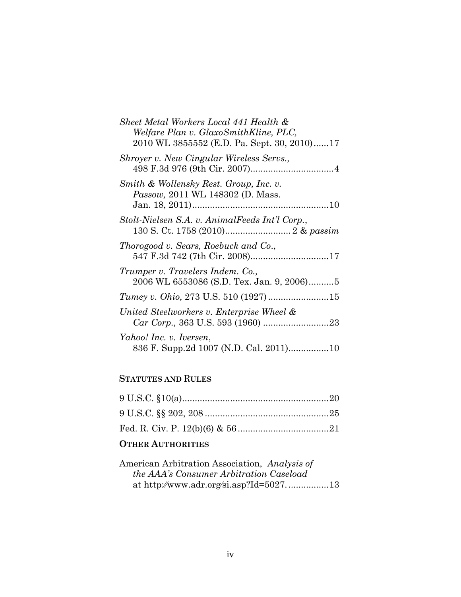| Sheet Metal Workers Local 441 Health &                                               |
|--------------------------------------------------------------------------------------|
| Welfare Plan v. GlaxoSmithKline, PLC,<br>2010 WL 3855552 (E.D. Pa. Sept. 30, 2010)17 |
| Shroyer v. New Cingular Wireless Servs.,                                             |
| Smith & Wollensky Rest. Group, Inc. v.<br><i>Passow</i> , 2011 WL 148302 (D. Mass.   |
| Stolt-Nielsen S.A. v. AnimalFeeds Int'l Corp.,                                       |
| Thorogood v. Sears, Roebuck and Co.,                                                 |
| Trumper v. Travelers Indem. Co.,<br>2006 WL 6553086 (S.D. Tex. Jan. 9, 2006)5        |
|                                                                                      |
| United Steelworkers v. Enterprise Wheel &                                            |
| Yahoo! Inc. v. Iversen,<br>836 F. Supp.2d 1007 (N.D. Cal. 2011)10                    |

# **STATUTES AND** R**ULES**

## **OTHER AUTHORITIES**

| American Arbitration Association, Analysis of  |  |
|------------------------------------------------|--|
| <i>the AAA's Consumer Arbitration Caseload</i> |  |
|                                                |  |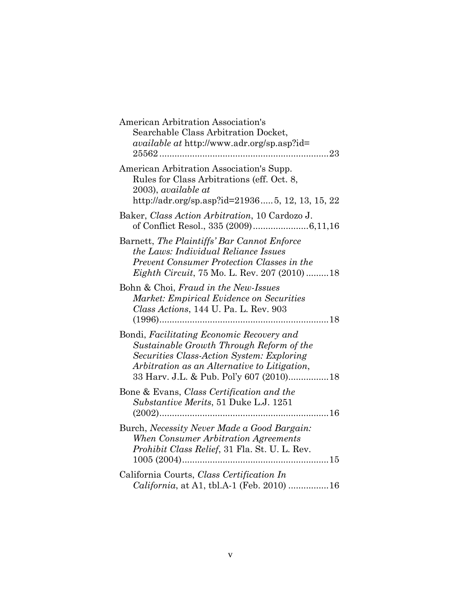| American Arbitration Association's<br>Searchable Class Arbitration Docket,<br><i>available at http://www.adr.org/sp.asp?id=</i>                                                                                               |
|-------------------------------------------------------------------------------------------------------------------------------------------------------------------------------------------------------------------------------|
| American Arbitration Association's Supp.<br>Rules for Class Arbitrations (eff. Oct. 8,<br>2003), available at<br>http://adr.org/sp.asp?id=219365, 12, 13, 15, 22                                                              |
| Baker, Class Action Arbitration, 10 Cardozo J.                                                                                                                                                                                |
| Barnett, The Plaintiffs' Bar Cannot Enforce<br>the Laws: Individual Reliance Issues<br>Prevent Consumer Protection Classes in the<br><i>Eighth Circuit</i> , 75 Mo. L. Rev. 207 (2010) 18                                     |
| Bohn & Choi, Fraud in the New-Issues<br>Market: Empirical Evidence on Securities<br>Class Actions, 144 U. Pa. L. Rev. 903                                                                                                     |
| Bondi, Facilitating Economic Recovery and<br>Sustainable Growth Through Reform of the<br>Securities Class-Action System: Exploring<br>Arbitration as an Alternative to Litigation,<br>33 Harv. J.L. & Pub. Pol'y 607 (2010)18 |
| Bone & Evans, Class Certification and the<br>Substantive Merits, 51 Duke L.J. 1251                                                                                                                                            |
| Burch, Necessity Never Made a Good Bargain:<br>When Consumer Arbitration Agreements<br><i>Prohibit Class Relief</i> , 31 Fla. St. U. L. Rev.                                                                                  |
| California Courts, Class Certification In<br>California, at A1, tbl.A-1 (Feb. 2010) 16                                                                                                                                        |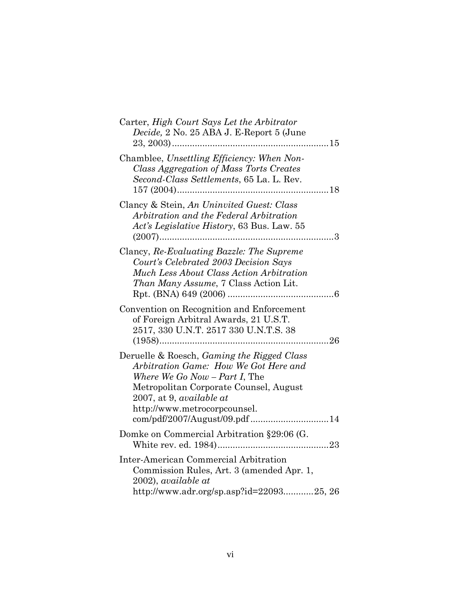| Carter, High Court Says Let the Arbitrator<br>Decide, 2 No. 25 ABA J. E-Report 5 (June                                                                                                                                                                                         |
|--------------------------------------------------------------------------------------------------------------------------------------------------------------------------------------------------------------------------------------------------------------------------------|
| Chamblee, Unsettling Efficiency: When Non-<br>Class Aggregation of Mass Torts Creates<br>Second-Class Settlements, 65 La. L. Rev.                                                                                                                                              |
| Clancy & Stein, An Uninvited Guest: Class<br>Arbitration and the Federal Arbitration<br>Act's Legislative History, 63 Bus. Law. 55                                                                                                                                             |
| Clancy, Re-Evaluating Bazzle: The Supreme<br>Court's Celebrated 2003 Decision Says<br>Much Less About Class Action Arbitration<br>Than Many Assume, 7 Class Action Lit.                                                                                                        |
| Convention on Recognition and Enforcement<br>of Foreign Arbitral Awards, 21 U.S.T.<br>2517, 330 U.N.T. 2517 330 U.N.T.S. 38                                                                                                                                                    |
| Deruelle & Roesch, <i>Gaming the Rigged Class</i><br>Arbitration Game: How We Got Here and<br>Where We Go Now $-$ Part I, The<br>Metropolitan Corporate Counsel, August<br>$2007$ , at 9, <i>available at</i><br>http://www.metrocorpcounsel.<br>com/pdf/2007/August/09.pdf 14 |
| Domke on Commercial Arbitration §29:06 (G.                                                                                                                                                                                                                                     |
| Inter-American Commercial Arbitration<br>Commission Rules, Art. 3 (amended Apr. 1,<br>$2002$ , available at<br>http://www.adr.org/sp.asp?id=2209325, 26                                                                                                                        |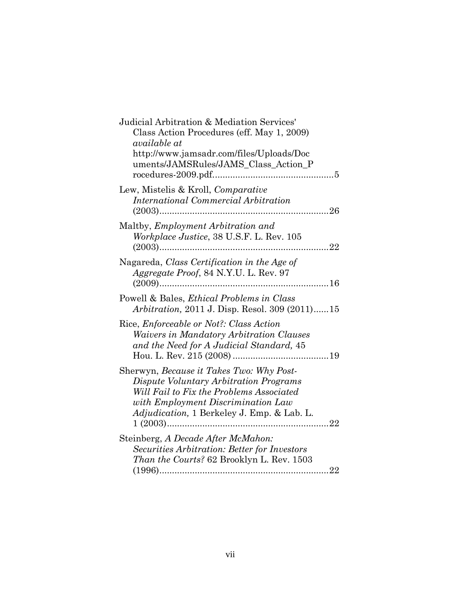| Judicial Arbitration & Mediation Services'<br>Class Action Procedures (eff. May 1, 2009)<br>available at<br>http://www.jamsadr.com/files/Uploads/Doc<br>uments/JAMSRules/JAMS_Class_Action_P                       |
|--------------------------------------------------------------------------------------------------------------------------------------------------------------------------------------------------------------------|
| Lew, Mistelis & Kroll, <i>Comparative</i><br>International Commercial Arbitration                                                                                                                                  |
| Maltby, Employment Arbitration and<br>Workplace Justice, 38 U.S.F. L. Rev. 105<br>. 22                                                                                                                             |
| Nagareda, Class Certification in the Age of<br>Aggregate Proof, 84 N.Y.U. L. Rev. 97                                                                                                                               |
| Powell & Bales, Ethical Problems in Class<br><i>Arbitration, 2011 J. Disp. Resol. 309 (2011)15</i>                                                                                                                 |
| Rice, <i>Enforceable or Not?: Class Action</i><br><i>Waivers in Mandatory Arbitration Clauses</i><br>and the Need for A Judicial Standard, 45                                                                      |
| Sherwyn, Because it Takes Two: Why Post-<br>Dispute Voluntary Arbitration Programs<br>Will Fail to Fix the Problems Associated<br>with Employment Discrimination Law<br>Adjudication, 1 Berkeley J. Emp. & Lab. L. |
| Steinberg, A Decade After McMahon:<br>Securities Arbitration: Better for Investors<br>Than the Courts? 62 Brooklyn L. Rev. 1503                                                                                    |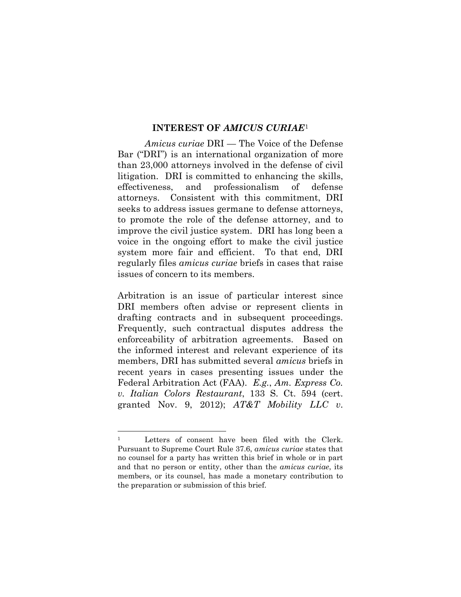#### **INTEREST OF** *AMICUS CURIAE*[1](#page-9-0)

*Amicus curiae* DRI — The Voice of the Defense Bar ("DRI") is an international organization of more than 23,000 attorneys involved in the defense of civil litigation. DRI is committed to enhancing the skills, effectiveness, and professionalism of defense attorneys. Consistent with this commitment, DRI seeks to address issues germane to defense attorneys, to promote the role of the defense attorney, and to improve the civil justice system. DRI has long been a voice in the ongoing effort to make the civil justice system more fair and efficient. To that end, DRI regularly files *amicus curiae* briefs in cases that raise issues of concern to its members.

Arbitration is an issue of particular interest since DRI members often advise or represent clients in drafting contracts and in subsequent proceedings. Frequently, such contractual disputes address the enforceability of arbitration agreements. Based on the informed interest and relevant experience of its members, DRI has submitted several *amicus* briefs in recent years in cases presenting issues under the Federal Arbitration Act (FAA). *E.g.*, *Am. Express Co. v. Italian Colors Restaurant*, 133 S. Ct. 594 (cert. granted Nov. 9, 2012); *AT&T Mobility LLC v*.

<span id="page-9-0"></span><sup>&</sup>lt;sup>1</sup> Letters of consent have been filed with the Clerk. Pursuant to Supreme Court Rule 37.6, *amicus curiae* states that no counsel for a party has written this brief in whole or in part and that no person or entity, other than the *amicus curiae*, its members, or its counsel, has made a monetary contribution to the preparation or submission of this brief.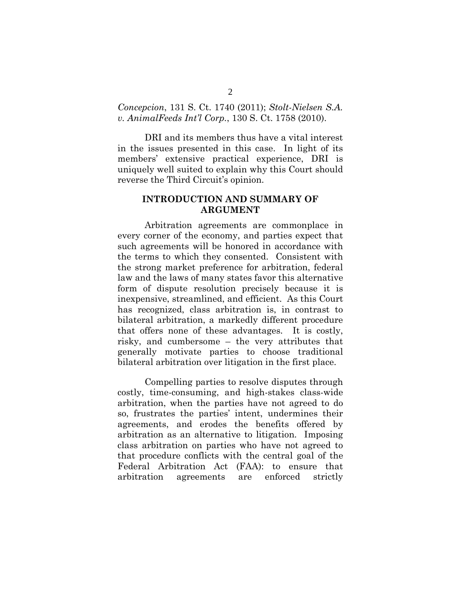#### *Concepcion*, 131 S. Ct. 1740 (2011); *Stolt-Nielsen S.A. v. AnimalFeeds Int'l Corp.*, 130 S. Ct. 1758 (2010).

DRI and its members thus have a vital interest in the issues presented in this case. In light of its members' extensive practical experience, DRI is uniquely well suited to explain why this Court should reverse the Third Circuit's opinion.

#### **INTRODUCTION AND SUMMARY OF ARGUMENT**

Arbitration agreements are commonplace in every corner of the economy, and parties expect that such agreements will be honored in accordance with the terms to which they consented. Consistent with the strong market preference for arbitration, federal law and the laws of many states favor this alternative form of dispute resolution precisely because it is inexpensive, streamlined, and efficient. As this Court has recognized, class arbitration is, in contrast to bilateral arbitration, a markedly different procedure that offers none of these advantages. It is costly, risky, and cumbersome – the very attributes that generally motivate parties to choose traditional bilateral arbitration over litigation in the first place.

Compelling parties to resolve disputes through costly, time-consuming, and high-stakes class-wide arbitration, when the parties have not agreed to do so, frustrates the parties' intent, undermines their agreements, and erodes the benefits offered by arbitration as an alternative to litigation. Imposing class arbitration on parties who have not agreed to that procedure conflicts with the central goal of the Federal Arbitration Act (FAA): to ensure that arbitration agreements are enforced strictly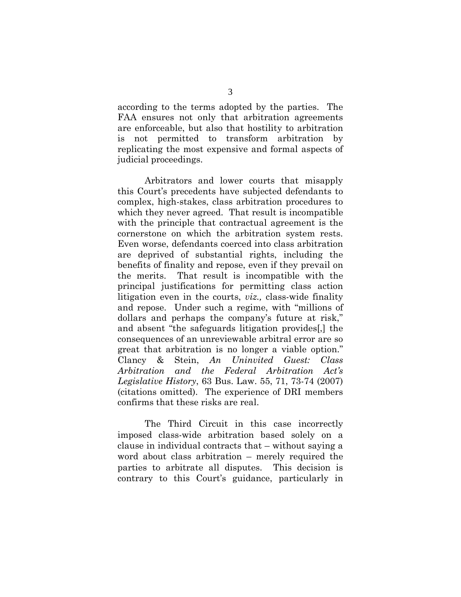according to the terms adopted by the parties. The FAA ensures not only that arbitration agreements are enforceable, but also that hostility to arbitration is not permitted to transform arbitration by replicating the most expensive and formal aspects of judicial proceedings.

Arbitrators and lower courts that misapply this Court's precedents have subjected defendants to complex, high-stakes, class arbitration procedures to which they never agreed. That result is incompatible with the principle that contractual agreement is the cornerstone on which the arbitration system rests. Even worse, defendants coerced into class arbitration are deprived of substantial rights, including the benefits of finality and repose, even if they prevail on the merits. That result is incompatible with the principal justifications for permitting class action litigation even in the courts, *viz.,* class-wide finality and repose. Under such a regime, with "millions of dollars and perhaps the company's future at risk," and absent "the safeguards litigation provides[,] the consequences of an unreviewable arbitral error are so great that arbitration is no longer a viable option." Clancy & Stein, *An Uninvited Guest: Class Arbitration and the Federal Arbitration Act's Legislative History*, 63 Bus. Law. 55, 71, 73-74 (2007) (citations omitted). The experience of DRI members confirms that these risks are real.

The Third Circuit in this case incorrectly imposed class-wide arbitration based solely on a clause in individual contracts that – without saying a word about class arbitration – merely required the parties to arbitrate all disputes. This decision is contrary to this Court's guidance, particularly in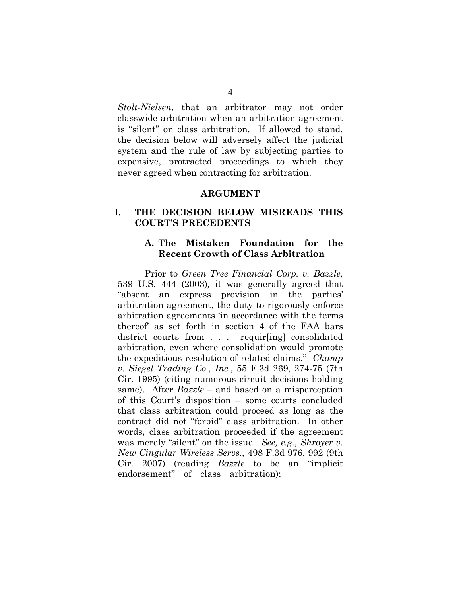*Stolt-Nielsen*, that an arbitrator may not order classwide arbitration when an arbitration agreement is "silent" on class arbitration. If allowed to stand, the decision below will adversely affect the judicial system and the rule of law by subjecting parties to expensive, protracted proceedings to which they never agreed when contracting for arbitration.

#### **ARGUMENT**

#### **I. THE DECISION BELOW MISREADS THIS COURT'S PRECEDENTS**

#### **A. The Mistaken Foundation for the Recent Growth of Class Arbitration**

Prior to *Green Tree Financial Corp. v. Bazzle,*  539 U.S. 444 (2003)*,* it was generally agreed that "absent an express provision in the parties' arbitration agreement, the duty to rigorously enforce arbitration agreements 'in accordance with the terms thereof' as set forth in section 4 of the FAA bars district courts from . . . requir[ing] consolidated arbitration, even where consolidation would promote the expeditious resolution of related claims." *[Champ](https://web2.westlaw.com/find/default.wl?mt=Westlaw&db=0000506&tc=-1&rp=%2ffind%2fdefault.wl&findtype=Y&ordoc=0318197423&serialnum=1995112328&vr=2.0&fn=_top&sv=Split&tf=-1&pbc=E0A839FE&rs=WLW12.07)  v. Siegel Trading Co., Inc.*[, 55 F.3d 269, 274-75 \(7th](https://web2.westlaw.com/find/default.wl?mt=Westlaw&db=0000506&tc=-1&rp=%2ffind%2fdefault.wl&findtype=Y&ordoc=0318197423&serialnum=1995112328&vr=2.0&fn=_top&sv=Split&tf=-1&pbc=E0A839FE&rs=WLW12.07)  [Cir. 1995\)](https://web2.westlaw.com/find/default.wl?mt=Westlaw&db=0000506&tc=-1&rp=%2ffind%2fdefault.wl&findtype=Y&ordoc=0318197423&serialnum=1995112328&vr=2.0&fn=_top&sv=Split&tf=-1&pbc=E0A839FE&rs=WLW12.07) (citing numerous circuit decisions holding same). After *Bazzle –* and based on a misperception of this Court's disposition – some courts concluded that class arbitration could proceed as long as the contract did not "forbid" class arbitration. In other words, class arbitration proceeded if the agreement was merely "silent" on the issue. *See, e.g., [Shroyer v.](https://web2.westlaw.com/find/default.wl?mt=Westlaw&db=506&tc=-1&rp=%2ffind%2fdefault.wl&findtype=Y&ordoc=2022581154&serialnum=2012930761&vr=2.0&fn=_top&sv=Split&tf=-1&referencepositiontype=S&pbc=E00BB014&referenceposition=992&rs=WLW12.07)  [New Cingular Wireless Servs.,](https://web2.westlaw.com/find/default.wl?mt=Westlaw&db=506&tc=-1&rp=%2ffind%2fdefault.wl&findtype=Y&ordoc=2022581154&serialnum=2012930761&vr=2.0&fn=_top&sv=Split&tf=-1&referencepositiontype=S&pbc=E00BB014&referenceposition=992&rs=WLW12.07)* 498 F.3d 976, 992 (9th [Cir. 2007\)](https://web2.westlaw.com/find/default.wl?mt=Westlaw&db=506&tc=-1&rp=%2ffind%2fdefault.wl&findtype=Y&ordoc=2022581154&serialnum=2012930761&vr=2.0&fn=_top&sv=Split&tf=-1&referencepositiontype=S&pbc=E00BB014&referenceposition=992&rs=WLW12.07) (reading *Bazzle* to be an "implicit endorsement" of class arbitration);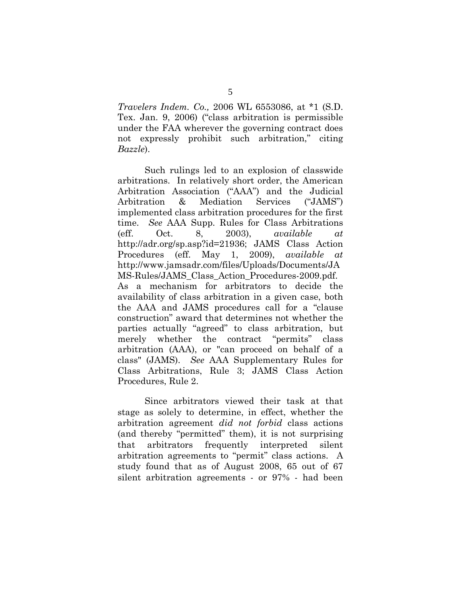*Travelers Indem. Co.,* 2006 WL 6553086, at \*1 (S.D. Tex. Jan. 9, 2006) ("class arbitration is permissible under the FAA wherever the governing contract does not expressly prohibit such arbitration," citing *[Bazzle](https://web2.westlaw.com/find/default.wl?mt=Westlaw&db=780&tc=-1&rp=%2ffind%2fdefault.wl&findtype=Y&ordoc=2022581154&serialnum=2003444529&vr=2.0&fn=_top&sv=Split&tf=-1&referencepositiontype=S&pbc=E00BB014&referenceposition=451&rs=WLW12.07)*).

Such rulings led to an explosion of classwide arbitrations. In relatively short order, the American Arbitration Association ("AAA") and the Judicial Arbitration & Mediation Services ("JAMS") implemented class arbitration procedures for the first time. *See* AAA Supp. Rules for Class Arbitrations (eff. Oct. 8, 2003), *available at* http://adr.org/sp.asp?id=21936; JAMS Class Action Procedures (eff. May 1, 2009), *available at* [http://www.jamsadr.com/files/Uploads/D](http://www.jamsadr.com/files/Uploads/)ocuments/JA MS-Rules/JAMS\_Class\_Action\_Procedures-2009.pdf. As a mechanism for arbitrators to decide the availability of class arbitration in a given case, both the AAA and JAMS procedures call for a "clause construction" award that determines not whether the parties actually "agreed" to class arbitration, but merely whether the contract "permits" class arbitration (AAA), or "can proceed on behalf of a class" (JAMS). *See* AAA Supplementary Rules for Class Arbitrations, Rule 3; JAMS Class Action Procedures, Rule 2.

Since arbitrators viewed their task at that stage as solely to determine, in effect, whether the arbitration agreement *did not forbid* class actions (and thereby "permitted" them), it is not surprising that arbitrators frequently interpreted silent arbitration agreements to "permit" class actions. A study found that as of August 2008, 65 out of 67 silent arbitration agreements - or 97% - had been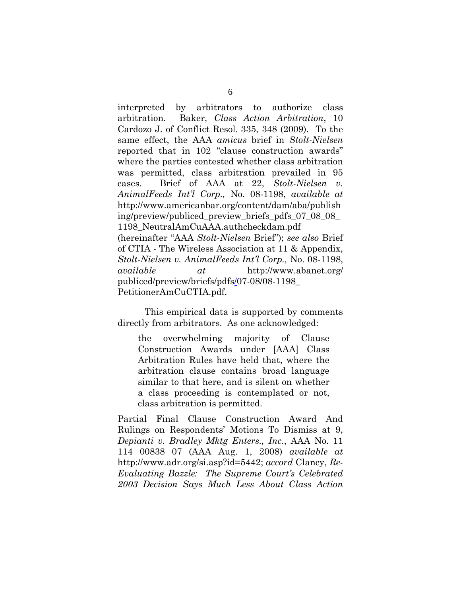interpreted by arbitrators to authorize class arbitration. Baker, *Class Action Arbitration*, 10 Cardozo J. of Conflict Resol. 335, 348 (2009). To the same effect, the AAA *amicus* brief in *Stolt-Nielsen*  reported that in 102 "clause construction awards" where the parties contested whether class arbitration was permitted, class arbitration prevailed in 95 cases. Brief of AAA at 22, *Stolt-Nielsen v. AnimalFeeds Int'l Corp.,* No. 08-1198, *available at* [http://www.americanbar.org/content/dam/aba/publish](http://www.americanbar.org/content/dam/aba/publishing/preview/publiced_preview_briefs_pdfs_07_08_08_1198_NeutralAmCuAAA.authcheckdam.pdf) [ing/preview/publiced\\_preview\\_briefs\\_pdfs\\_07\\_08\\_08\\_](http://www.americanbar.org/content/dam/aba/publishing/preview/publiced_preview_briefs_pdfs_07_08_08_1198_NeutralAmCuAAA.authcheckdam.pdf) [1198\\_NeutralAmCuAAA.authcheckdam.pdf](http://www.americanbar.org/content/dam/aba/publishing/preview/publiced_preview_briefs_pdfs_07_08_08_1198_NeutralAmCuAAA.authcheckdam.pdf) (hereinafter "AAA *Stolt-Nielsen* Brief"); *see also* Brief of CTIA - The Wireless Association at 11 & Appendix, *Stolt-Nielsen v. AnimalFeeds Int'l Corp.,* No. 08-1198, *available at* http:/[/www.abanet.org/](http://www.abanet.org/%20publiced/preview/briefs/pdfs/)  [publiced/preview/briefs/pdfs/0](http://www.abanet.org/%20publiced/preview/briefs/pdfs/)7-08/08-1198\_ PetitionerAmCuCTIA.pdf.

This empirical data is supported by comments directly from arbitrators. As one acknowledged:

the overwhelming majority of Clause Construction Awards under [AAA] Class Arbitration Rules have held that, where the arbitration clause contains broad language similar to that here, and is silent on whether a class proceeding is contemplated or not, class arbitration is permitted.

Partial Final Clause Construction Award And Rulings on Respondents' Motions To Dismiss at 9, *Depianti v. Bradley Mktg Enters., Inc*., AAA No. 11 114 00838 07 (AAA Aug. 1, 2008) *available at*  <http://www.adr.org/si.asp?id=5442>; *accord* Clancy, *Re-Evaluating Bazzle: The Supreme Court's Celebrated 2003 Decision Says Much Less About Class Action*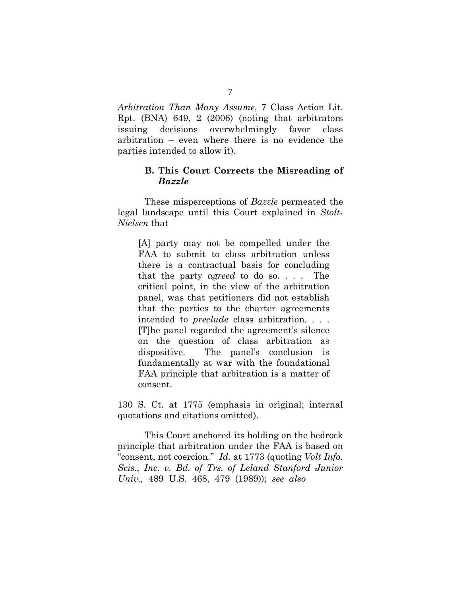*Arbitration Than Many Assume*, 7 Class Action Lit. Rpt. (BNA) 649, 2 (2006) (noting that arbitrators issuing decisions overwhelmingly favor class arbitration – even where there is no evidence the parties intended to allow it).

#### **B. This Court Corrects the Misreading of**  *Bazzle*

These misperceptions of *Bazzle* permeated the legal landscape until this Court explained in *Stolt-Nielsen* that

[A] party may not be compelled under the FAA to submit to class arbitration unless there is a contractual basis for concluding that the party *agreed* to do so. . . . The critical point, in the view of the arbitration panel, was that petitioners did not establish that the parties to the charter agreements intended to *preclude* class arbitration. . . . [T]he panel regarded the agreement's silence on the question of class arbitration as dispositive. The panel's conclusion is fundamentally at war with the foundational FAA principle that arbitration is a matter of consent.

130 S. Ct. at 1775 (emphasis in original; internal quotations and citations omitted).

This Court anchored its holding on the bedrock principle that arbitration under the FAA is based on "consent, not coercion." *Id.* at 1773 (quoting *[Volt Info.](http://www.westlaw.com/Find/Default.wl?rs=dfa1.0&vr=2.0&DB=780&FindType=Y&ReferencePositionType=S&SerialNum=1989032283&ReferencePosition=479)  [Scis., Inc. v. Bd. of Trs. of Leland Stanford Junior](http://www.westlaw.com/Find/Default.wl?rs=dfa1.0&vr=2.0&DB=780&FindType=Y&ReferencePositionType=S&SerialNum=1989032283&ReferencePosition=479)  [Univ.,](http://www.westlaw.com/Find/Default.wl?rs=dfa1.0&vr=2.0&DB=780&FindType=Y&ReferencePositionType=S&SerialNum=1989032283&ReferencePosition=479)* [489 U.S. 468, 479 \(1989\)\)](http://www.westlaw.com/Find/Default.wl?rs=dfa1.0&vr=2.0&DB=780&FindType=Y&ReferencePositionType=S&SerialNum=1989032283&ReferencePosition=479); *see also*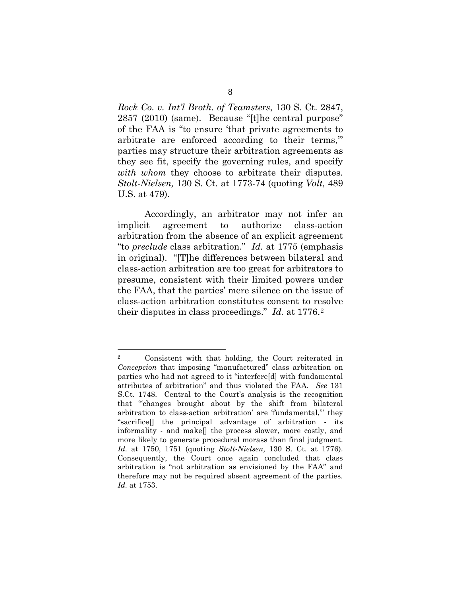*Rock Co. v. Int'l Broth. of Teamsters*, 130 S. Ct. 2847, 2857 (2010) (same). Because "[t]he central purpose" of the FAA is "to ensure 'that private agreements to arbitrate are enforced according to their terms,'" parties may structure their arbitration agreements as they see fit, specify the governing rules, and specify *with whom* they choose to arbitrate their disputes. *[Stolt-Nielsen,](http://www.westlaw.com/Find/Default.wl?rs=dfa1.0&vr=2.0&DB=708&FindType=Y&ReferencePositionType=S&SerialNum=2021840752&ReferencePosition=1773)* 130 S. Ct*.* at 1773-74 (quoting *[Volt,](http://www.westlaw.com/Find/Default.wl?rs=dfa1.0&vr=2.0&DB=780&FindType=Y&ReferencePositionType=S&SerialNum=1989032283&ReferencePosition=479)* [489](http://www.westlaw.com/Find/Default.wl?rs=dfa1.0&vr=2.0&DB=780&FindType=Y&ReferencePositionType=S&SerialNum=1989032283&ReferencePosition=479)  U.S. at 479).

Accordingly, an arbitrator may not infer an implicit agreement to authorize class-action arbitration from the absence of an explicit agreement "to *preclude* class arbitration." *Id.* at 1775 (emphasis in original). "[T]he differences between bilateral and class-action arbitration are too great for arbitrators to presume, consistent with their limited powers under the FAA, that the parties' mere silence on the issue of class-action arbitration constitutes consent to resolve their disputes in class proceedings." *Id.* at 1776.[2](#page-16-0)

<span id="page-16-0"></span> <sup>2</sup> Consistent with that holding, the Court reiterated in *Concepcion* that imposing "manufactured" class arbitration on parties who had not agreed to it "interfere[d] with fundamental attributes of arbitration" and thus violated the FAA. *See* 131 S.Ct. 1748. Central to the Court's analysis is the recognition that "'changes brought about by the shift from bilateral arbitration to class-action arbitration' are 'fundamental,'" they "sacrifice[] the principal advantage of arbitration - its informality - and make[] the process slower, more costly, and more likely to generate procedural morass than final judgment. *Id.* at 1750, 1751 (quoting *[Stolt-Nielsen,](http://www.westlaw.com/Find/Default.wl?rs=dfa1.0&vr=2.0&DB=708&FindType=Y&ReferencePositionType=S&SerialNum=2021840752&ReferencePosition=1776)* [130 S. Ct. at 1776\).](http://www.westlaw.com/Find/Default.wl?rs=dfa1.0&vr=2.0&DB=708&FindType=Y&ReferencePositionType=S&SerialNum=2021840752&ReferencePosition=1776)  Consequently, the Court once again concluded that class arbitration is "not arbitration as envisioned by the FAA" and therefore may not be required absent agreement of the parties. *Id.* at 1753.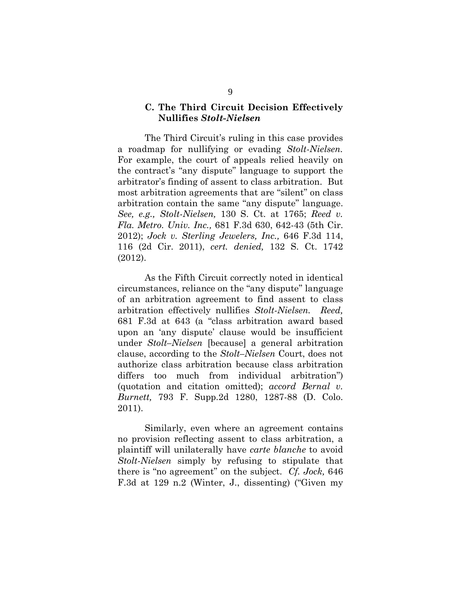#### **C. The Third Circuit Decision Effectively Nullifies** *Stolt-Nielsen*

The Third Circuit's ruling in this case provides a roadmap for nullifying or evading *Stolt-Nielsen.* For example, the court of appeals relied heavily on the contract's "any dispute" language to support the arbitrator's finding of assent to class arbitration. But most arbitration agreements that are "silent" on class arbitration contain the same "any dispute" language. *See, e.g., Stolt-Nielsen,* 130 S. Ct. at 1765; *Reed v. Fla. Metro. Univ. Inc.,* 681 F.3d 630, 642-43 (5th Cir. 2012); *Jock v. Sterling Jewelers, Inc.,* 646 F.3d 114, 116 (2d Cir. 2011), *cert. denied,* 132 S. Ct. 1742 (2012).

As the Fifth Circuit correctly noted in identical circumstances, reliance on the "any dispute" language of an arbitration agreement to find assent to class arbitration effectively nullifies *Stolt-Nielsen. Reed,*  681 F.3d at 643 (a "class arbitration award based upon an 'any dispute' clause would be insufficient under *Stolt–Nielsen* [because] a general arbitration clause, according to the *[Stolt–Nielsen](https://web2.westlaw.com/find/default.wl?rs=WLW12.07&pbc=E443A6F6&vr=2.0&findtype=Y&rp=%2ffind%2fdefault.wl&sv=Split&fn=_top&tf=-1&ordoc=2027723962&mt=Westlaw&serialnum=2021840752&tc=-1)* Court, does not authorize class arbitration because class arbitration differs too much from individual arbitration") (quotation and citation omitted); *accord [Bernal v.](http://www.westlaw.com/Find/Default.wl?rs=dfa1.0&vr=2.0&DB=0000999&FindType=Y&SerialNum=2025411777)  [Burnett,](http://www.westlaw.com/Find/Default.wl?rs=dfa1.0&vr=2.0&DB=0000999&FindType=Y&SerialNum=2025411777)* [793 F. Supp.2d 1280, 1287-88 \(D. Colo.](http://www.westlaw.com/Find/Default.wl?rs=dfa1.0&vr=2.0&DB=0000999&FindType=Y&SerialNum=2025411777)  2011).

Similarly, even where an agreement contains no provision reflecting assent to class arbitration, a plaintiff will unilaterally have *carte blanche* to avoid *Stolt-Nielsen* simply by refusing to stipulate that there is "no agreement" on the subject. *Cf. Jock,* 646 F.3d at 129 n.2 (Winter, J., dissenting) ("Given my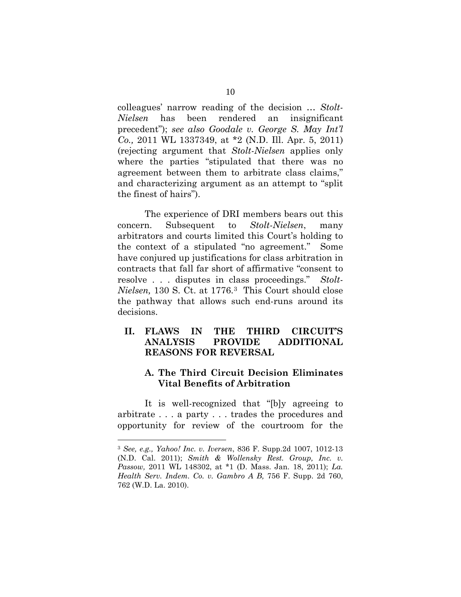colleagues' narrow reading of the decision … *Stolt-Nielsen* has been rendered an insignificant precedent"); *see also Goodale v. George S. May Int'l Co.,* [2011 WL 1337349, at \\*2 \(N.D. Ill. Apr. 5, 2011\)](http://www.westlaw.com/Find/Default.wl?rs=dfa1.0&vr=2.0&DB=0000999&FindType=Y&SerialNum=2024972399) (rejecting argument that *Stolt-Nielsen* applies only where the parties "stipulated that there was no agreement between them to arbitrate class claims," and characterizing argument as an attempt to "split the finest of hairs").

The experience of DRI members bears out this concern. Subsequent to *Stolt-Nielsen*, many arbitrators and courts limited this Court's holding to the context of a stipulated "no agreement." Some have conjured up justifications for class arbitration in contracts that fall far short of affirmative "consent to resolve . . . disputes in class proceedings." *Stolt-Nielsen,* 130 S. Ct. at 1776.[3](#page-18-0) This Court should close the pathway that allows such end-runs around its decisions.

#### **II. FLAWS IN THE THIRD CIRCUIT'S ANALYSIS PROVIDE ADDITIONAL REASONS FOR REVERSAL**

### **A. The Third Circuit Decision Eliminates Vital Benefits of Arbitration**

It is well-recognized that "[b]y agreeing to arbitrate . . . a party . . . trades the procedures and opportunity for review of the courtroom for the

<span id="page-18-0"></span> <sup>3</sup> *See, e.g., [Yahoo! Inc. v. Iversen](https://web2.westlaw.com/find/default.wl?rs=WLW12.07&pbc=BC6E23F9&vr=2.0&docname=CIK(0001011006)&lvbp=T&rp=%2ffind%2fdefault.wl&sv=Split&fn=_top&findtype=l&mt=Westlaw&returnto=BusinessNameReturnTo&db=BC-COMPANYSRBD)*, 836 F. Supp.2d 1007, 1012-13 (N.D. Cal. 2011); *[Smith & Wollensky Rest. Group, Inc. v.](http://www.westlaw.com/Find/Default.wl?rs=dfa1.0&vr=2.0&DB=0000999&FindType=Y&SerialNum=2024411571)  [Passow,](http://www.westlaw.com/Find/Default.wl?rs=dfa1.0&vr=2.0&DB=0000999&FindType=Y&SerialNum=2024411571)* [2011 WL 148302, at \\*1 \(D. Mass.](http://www.westlaw.com/Find/Default.wl?rs=dfa1.0&vr=2.0&DB=0000999&FindType=Y&SerialNum=2024411571) Jan. 18, 2011); *[La.](http://www.westlaw.com/Find/Default.wl?rs=dfa1.0&vr=2.0&DB=4637&FindType=Y&ReferencePositionType=S&SerialNum=2024207788&ReferencePosition=762)  [Health Serv. Indem. Co. v. Gambro A B,](http://www.westlaw.com/Find/Default.wl?rs=dfa1.0&vr=2.0&DB=4637&FindType=Y&ReferencePositionType=S&SerialNum=2024207788&ReferencePosition=762)* [756 F. Supp. 2d 760,](http://www.westlaw.com/Find/Default.wl?rs=dfa1.0&vr=2.0&DB=4637&FindType=Y&ReferencePositionType=S&SerialNum=2024207788&ReferencePosition=762)  762 (W.D. La. 2010).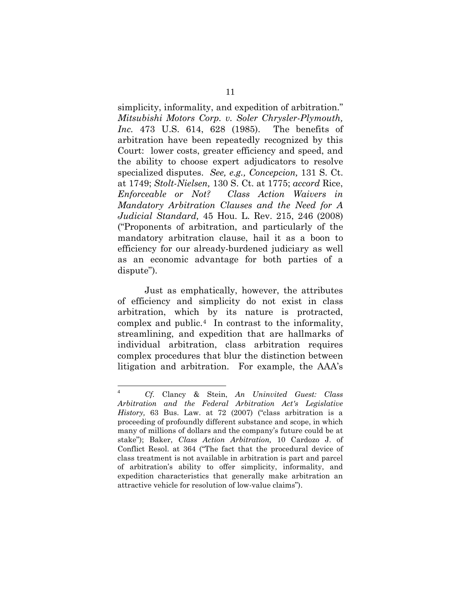simplicity, informality, and expedition of arbitration." *Mitsubishi Motors Corp. v. Soler Chrysler-Plymouth, Inc.* 473 U.S. 614, 628 (1985). The benefits of arbitration have been repeatedly recognized by this Court: lower costs, greater efficiency and speed, and the ability to choose expert adjudicators to resolve specialized disputes. *See, e.g., Concepcion,* 131 S. Ct. at 1749; *[Stolt-Nielsen,](https://web2.westlaw.com/find/default.wl?returnto=BusinessNameReturnTo&db=BC-COMPANYSRBD&rs=WLW12.04&lvbp=T&vr=2.0&rp=%2ffind%2fdefault.wl&sv=Split&fn=_top&findtype=l&mt=Westlaw&docname=CIK(LE10228608))* 130 S. Ct. at 1775; *accord* Rice, *Enforceable or Not? Class Action Waivers in Mandatory Arbitration Clauses and the Need for A Judicial Standard,* 45 Hou. L. Rev. 215, 246 (2008) ("Proponents of arbitration, and particularly of the mandatory arbitration clause, hail it as a boon to efficiency for our already-burdened judiciary as well as an economic advantage for both parties of a dispute").

Just as emphatically, however, the attributes of efficiency and simplicity do not exist in class arbitration, which by its nature is protracted, complex and public.[4](#page-19-0) In contrast to the informality, streamlining, and expedition that are hallmarks of individual arbitration, class arbitration requires complex procedures that blur the distinction between litigation and arbitration. For example, the AAA's

<span id="page-19-0"></span> $\overline{4}$ <sup>4</sup> *Cf.* Clancy & Stein, *An Uninvited Guest: Class Arbitration and the Federal Arbitration Act's Legislative History,* 63 Bus. Law. at 72 (2007) ("class arbitration is a proceeding of profoundly different substance and scope, in which many of millions of dollars and the company's future could be at stake"); Baker, *Class Action Arbitration,* 10 Cardozo J. of Conflict Resol. at 364 ("The fact that the procedural device of class treatment is not available in arbitration is part and parcel of arbitration's ability to offer simplicity, informality, and expedition characteristics that generally make arbitration an attractive vehicle for resolution of low-value claims").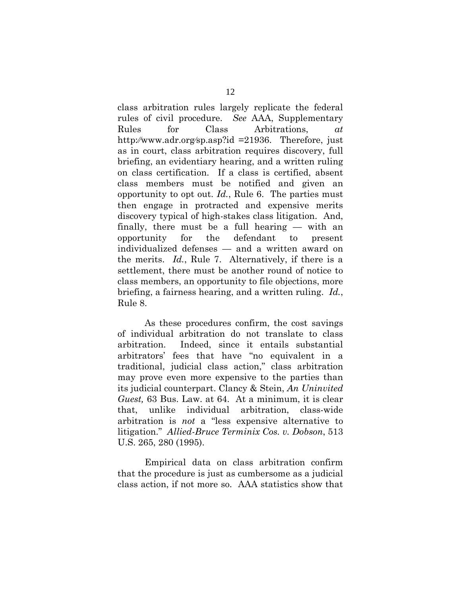class arbitration rules largely replicate the federal rules of civil procedure. *See* AAA, Supplementary Rules for Class Arbitrations, *at* http:⁄⁄www.adr.org⁄sp.asp?id =21936. Therefore, just as in court, class arbitration requires discovery, full briefing, an evidentiary hearing, and a written ruling on class certification. If a class is certified, absent class members must be notified and given an opportunity to opt out. *Id.*, Rule 6. The parties must then engage in protracted and expensive merits discovery typical of high-stakes class litigation. And, finally, there must be a full hearing — with an opportunity for the defendant to present individualized defenses — and a written award on the merits. *Id.*, Rule 7. Alternatively, if there is a settlement, there must be another round of notice to class members, an opportunity to file objections, more briefing, a fairness hearing, and a written ruling. *Id.*, Rule 8.

As these procedures confirm, the cost savings of individual arbitration do not translate to class arbitration. Indeed, since it entails substantial arbitrators' fees that have "no equivalent in a traditional, judicial class action," class arbitration may prove even more expensive to the parties than its judicial counterpart. Clancy & Stein, *An Uninvited Guest,* 63 Bus. Law. at 64. At a minimum, it is clear that, unlike individual arbitration, class-wide arbitration is *not* a "less expensive alternative to litigation." *Allied-Bruce Terminix Cos. v. Dobson*, 513 U.S. 265, 280 (1995).

Empirical data on class arbitration confirm that the procedure is just as cumbersome as a judicial class action, if not more so. AAA statistics show that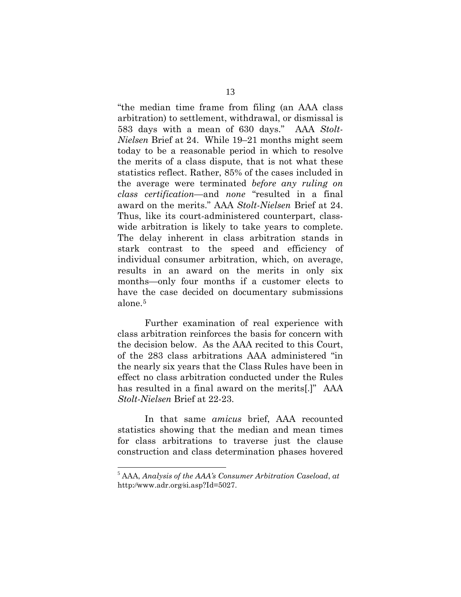"the median time frame from filing (an AAA class arbitration) to settlement, withdrawal, or dismissal is 583 days with a mean of 630 days." AAA *Stolt-Nielsen* Brief at 24. While 19–21 months might seem today to be a reasonable period in which to resolve the merits of a class dispute, that is not what these statistics reflect. Rather, 85% of the cases included in the average were terminated *before any ruling on class certification*—and *none* "resulted in a final award on the merits." AAA *Stolt-Nielsen* Brief at 24. Thus, like its court-administered counterpart, classwide arbitration is likely to take years to complete. The delay inherent in class arbitration stands in stark contrast to the speed and efficiency of individual consumer arbitration, which, on average, results in an award on the merits in only six months—only four months if a customer elects to have the case decided on documentary submissions alone.[5](#page-21-0)

Further examination of real experience with class arbitration reinforces the basis for concern with the decision below. As the AAA recited to this Court, of the 283 class arbitrations AAA administered "in the nearly six years that the Class Rules have been in effect no class arbitration conducted under the Rules has resulted in a final award on the merits[.]" AAA *Stolt-Nielsen* Brief at 22-23.

In that same *amicus* brief, AAA recounted statistics showing that the median and mean times for class arbitrations to traverse just the clause construction and class determination phases hovered

 $\overline{a}$ 

<span id="page-21-0"></span><sup>5</sup> AAA, *Analysis of the AAA's Consumer Arbitration Caseload*, *at*  http:⁄⁄www.adr.org⁄si.asp?Id=5027.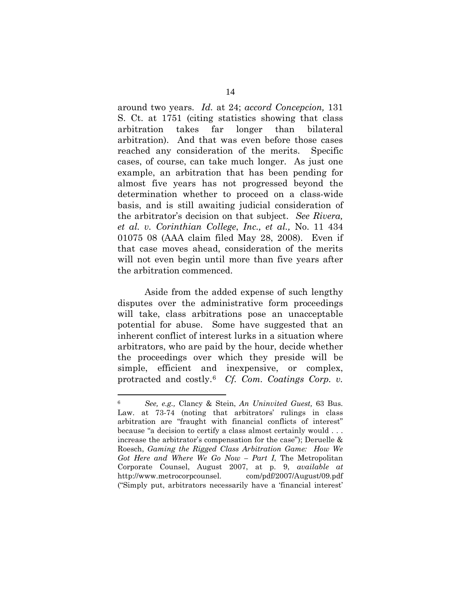around two years. *Id.* at 24; *accord Concepcion,* 131 S. Ct. at 1751 (citing statistics showing that class arbitration takes far longer than bilateral arbitration). And that was even before those cases reached any consideration of the merits. Specific cases, of course, can take much longer. As just one example, an arbitration that has been pending for almost five years has not progressed beyond the determination whether to proceed on a class-wide basis, and is still awaiting judicial consideration of the arbitrator's decision on that subject. *See Rivera, et al. v. Corinthian College*, *Inc., et al.,* No. 11 434 01075 08 (AAA claim filed May 28, 2008). Even if that case moves ahead, consideration of the merits will not even begin until more than five years after the arbitration commenced.

Aside from the added expense of such lengthy disputes over the administrative form proceedings will take, class arbitrations pose an unacceptable potential for abuse. Some have suggested that an inherent conflict of interest lurks in a situation where arbitrators, who are paid by the hour, decide whether the proceedings over which they preside will be simple, efficient and inexpensive, or complex, protracted and costly.[6](#page-22-0) *Cf. [Com. Coatings Corp. v.](https://web2.westlaw.com/find/default.wl?mt=Westlaw&db=780&tc=-1&rp=%2ffind%2fdefault.wl&findtype=Y&ordoc=2015318935&serialnum=1968139825&vr=2.0&fn=_top&sv=Split&tf=-1&referencepositiontype=S&pbc=F62A63B4&referenceposition=150&rs=WLW12.07)* 

<span id="page-22-0"></span> <sup>6</sup> *See, e.g.,* Clancy & Stein, *An Uninvited Guest,* [63 Bus.](https://web2.westlaw.com/find/default.wl?mt=Westlaw&db=1105&tc=-1&rp=%2ffind%2fdefault.wl&findtype=Y&ordoc=2019616729&serialnum=0335698417&vr=2.0&fn=_top&sv=Split&tf=-1&referencepositiontype=S&pbc=B8C87CD3&referenceposition=73&rs=WLW12.07)  [Law. at 73-](https://web2.westlaw.com/find/default.wl?mt=Westlaw&db=1105&tc=-1&rp=%2ffind%2fdefault.wl&findtype=Y&ordoc=2019616729&serialnum=0335698417&vr=2.0&fn=_top&sv=Split&tf=-1&referencepositiontype=S&pbc=B8C87CD3&referenceposition=73&rs=WLW12.07)74 (noting that arbitrators' rulings in class arbitration are "fraught with financial conflicts of interest" because "a decision to certify a class almost certainly would . . . increase the arbitrator's compensation for the case"); Deruelle & Roesch, *Gaming the Rigged Class Arbitration Game: How We Got Here and Where We Go Now – Part I*, The Metropolitan Corporate Counsel, August 2007, at p. 9, *available at*  http://www.metrocorpcounsel. com/pdf/2007/August/09.pdf ("Simply put, arbitrators necessarily have a 'financial interest'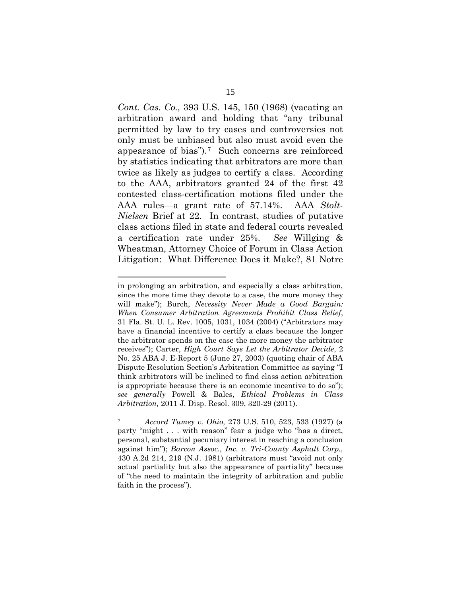*Cont. Cas. Co.,* 393 U.S. 145, 150 (1968) (vacating an arbitration award and holding that "any tribunal permitted by law to try cases and controversies not only must be unbiased but also must avoid even the appearance of bias").[7](#page-23-0) Such concerns are reinforced by statistics indicating that arbitrators are more than twice as likely as judges to certify a class. According to the AAA, arbitrators granted 24 of the first 42 contested class-certification motions filed under the AAA rules—a grant rate of 57.14%. AAA *Stolt-Nielsen* Brief at 22. In contrast, studies of putative class actions filed in state and federal courts revealed a certification rate under 25%. *See* Willging & Wheatman, Attorney Choice of Forum in Class Action Litigation: What Difference Does it Make?, 81 Notre

 $\overline{a}$ 

in prolonging an arbitration, and especially a class arbitration, since the more time they devote to a case, the more money they will make"); Burch, *[Necessity Never Made a Good Bargain:](https://web2.westlaw.com/find/default.wl?mt=Westlaw&db=1141&tc=-1&rp=%2ffind%2fdefault.wl&findtype=Y&ordoc=0364416423&serialnum=0300430673&vr=2.0&fn=_top&sv=Split&tf=-1&referencepositiontype=S&pbc=70D54424&referenceposition=1031&rs=WLW12.07)  [When Consumer Arbitration Agreements Prohibit Class Relief](https://web2.westlaw.com/find/default.wl?mt=Westlaw&db=1141&tc=-1&rp=%2ffind%2fdefault.wl&findtype=Y&ordoc=0364416423&serialnum=0300430673&vr=2.0&fn=_top&sv=Split&tf=-1&referencepositiontype=S&pbc=70D54424&referenceposition=1031&rs=WLW12.07)*, [31 Fla. St. U. L. Rev. 1005, 1031, 1034 \(2004\)](https://web2.westlaw.com/find/default.wl?mt=Westlaw&db=1141&tc=-1&rp=%2ffind%2fdefault.wl&findtype=Y&ordoc=0364416423&serialnum=0300430673&vr=2.0&fn=_top&sv=Split&tf=-1&referencepositiontype=S&pbc=70D54424&referenceposition=1031&rs=WLW12.07) ("Arbitrators may have a financial incentive to certify a class because the longer the arbitrator spends on the case the more money the arbitrator receives"); Carter, *High Court Says Let the Arbitrator Decide*, 2 No. 25 ABA J. E-Report 5 (June 27, 2003) (quoting chair of ABA Dispute Resolution Section's Arbitration Committee as saying "I think arbitrators will be inclined to find class action arbitration is appropriate because there is an economic incentive to do so"); *see generally* Powell & Bales, *Ethical Problems in Class Arbitration,* 2011 J. Disp. Resol. 309, 320-29 (2011).

<span id="page-23-0"></span><sup>7</sup> *Accord Tumey v. Ohio,* [273 U.S. 510, 523, 533 \(1927\)](https://web2.westlaw.com/find/default.wl?mt=Westlaw&db=780&tc=-1&rp=%2ffind%2fdefault.wl&findtype=Y&ordoc=2022762189&serialnum=1927124409&vr=2.0&fn=_top&sv=Split&tf=-1&referencepositiontype=S&pbc=8A6599B5&referenceposition=523&rs=WLW12.07) (a party "might . . . with reason" fear a judge who "has a direct, personal, substantial pecuniary interest in reaching a conclusion against him"); *[Barcon Assoc., Inc. v. Tri-County Asphalt Corp.,](https://web2.westlaw.com/find/default.wl?mt=Westlaw&db=583&tc=-1&rp=%2ffind%2fdefault.wl&findtype=Y&ordoc=2015318935&serialnum=1981124349&vr=2.0&fn=_top&sv=Split&tf=-1&referencepositiontype=S&pbc=F62A63B4&referenceposition=189&rs=WLW12.07)* 430 A.2d 214, [219 \(N.J. 1981\)](https://web2.westlaw.com/find/default.wl?mt=Westlaw&db=583&tc=-1&rp=%2ffind%2fdefault.wl&findtype=Y&ordoc=2015318935&serialnum=1981124349&vr=2.0&fn=_top&sv=Split&tf=-1&referencepositiontype=S&pbc=F62A63B4&referenceposition=189&rs=WLW12.07) (arbitrators must "avoid not only actual partiality but also the appearance of partiality" because of "the need to maintain the integrity of arbitration and public faith in the process").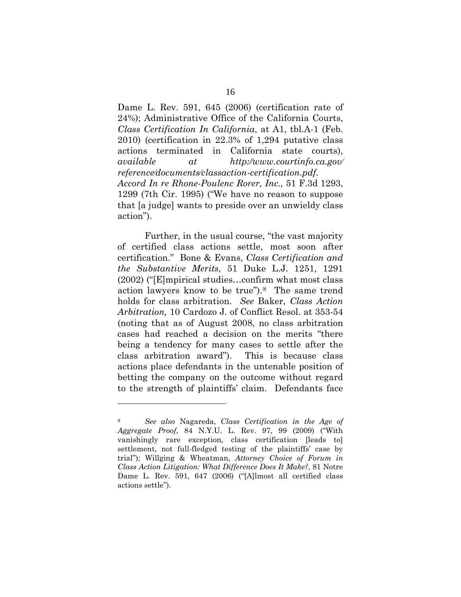Dame L. Rev. 591, 645 (2006) (certification rate of 24%); Administrative Office of the California Courts, *Class Certification In California*, at A1, tbl.A-1 (Feb. 2010) (certification in 22.3% of 1,294 putative class actions terminated in California state courts), *available at http:⁄⁄www.courtinfo.ca.gov⁄ reference⁄documents⁄classaction-certification.pdf*. *Accord In re Rhone-Poulenc Rorer, Inc.,* 51 F.3d 1293, 1299 (7th Cir. 1995) ("We have no reason to suppose that [a judge] wants to preside over an unwieldy class action").

Further, in the usual course, "the vast majority of certified class actions settle, most soon after certification." Bone & Evans, *Class Certification and the Substantive Merits*, 51 Duke L.J. 1251, 1291 (2002) ("[E]mpirical studies…confirm what most class action lawyers know to be true").[8](#page-24-0) The same trend holds for class arbitration. *See* Baker, *Class Action Arbitration,* 10 Cardozo J. of Conflict Resol. at 353-54 (noting that as of August 2008, no class arbitration cases had reached a decision on the merits "there being a tendency for many cases to settle after the class arbitration award"). This is because class actions place defendants in the untenable position of betting the company on the outcome without regard to the strength of plaintiffs' claim. Defendants face

l

<span id="page-24-0"></span><sup>8</sup> *See also* Nagareda, *Class Certification in the Age of Aggregate Proof*, 84 N.Y.U. L. Rev. 97, 99 (2009) ("With vanishingly rare exception, class certification [leads to] settlement, not full-fledged testing of the plaintiffs' case by trial"); Willging & Wheatman, *Attorney Choice of Forum in Class Action Litigation: What Difference Does It Make?*, 81 Notre Dame L. Rev. 591, 647 (2006) ("[A]lmost all certified class actions settle").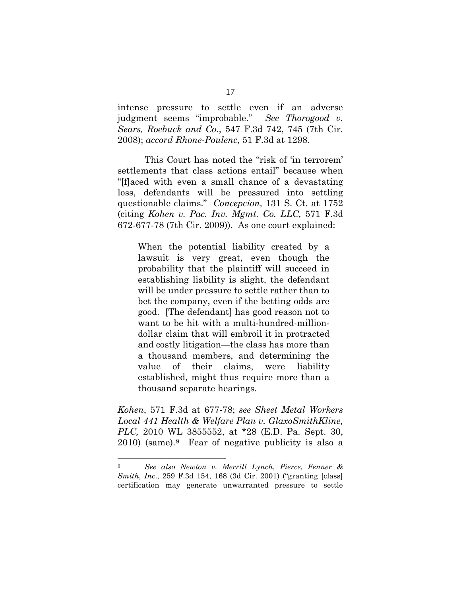intense pressure to settle even if an adverse judgment seems "improbable." *See Thorogood v. Sears, Roebuck and Co*., 547 F.3d 742, 745 (7th Cir. 2008); *accord Rhone-Poulenc,* 51 F.3d at 1298.

This Court has noted the "risk of 'in terrorem' settlements that class actions entail" because when "[f]aced with even a small chance of a devastating loss, defendants will be pressured into settling questionable claims." *Concepcion,* 131 S. Ct. at 1752 (citing *Kohen v. Pac. Inv. Mgmt. Co. LLC,* 571 F.3d 672-677-78 (7th Cir. 2009)). As one court explained:

When the potential liability created by a lawsuit is very great, even though the probability that the plaintiff will succeed in establishing liability is slight, the defendant will be under pressure to settle rather than to bet the company, even if the betting odds are good. [The defendant] has good reason not to want to be hit with a multi-hundred-milliondollar claim that will embroil it in protracted and costly litigation—the class has more than a thousand members, and determining the value of their claims, were liability established, might thus require more than a thousand separate hearings.

*Kohen*, 571 F.3d at 677-78; *see [Sheet Metal Workers](https://web2.westlaw.com/find/default.wl?rs=WLW12.10&pbc=BC6E23F9&vr=2.0&docname=CIK(0001131399)&lvbp=T&rp=%2ffind%2fdefault.wl&sv=Split&fn=_top&findtype=l&mt=Westlaw&returnto=BusinessNameReturnTo&db=BC-COMPANYSRBD)  [Local 441 Health & Welfare Plan v. GlaxoSmithKline,](https://web2.westlaw.com/find/default.wl?rs=WLW12.10&pbc=BC6E23F9&vr=2.0&docname=CIK(0001131399)&lvbp=T&rp=%2ffind%2fdefault.wl&sv=Split&fn=_top&findtype=l&mt=Westlaw&returnto=BusinessNameReturnTo&db=BC-COMPANYSRBD)  [PLC,](https://web2.westlaw.com/find/default.wl?rs=WLW12.10&pbc=BC6E23F9&vr=2.0&docname=CIK(0001131399)&lvbp=T&rp=%2ffind%2fdefault.wl&sv=Split&fn=_top&findtype=l&mt=Westlaw&returnto=BusinessNameReturnTo&db=BC-COMPANYSRBD)* 2010 WL 3855552, at \*28 (E.D. Pa. Sept. 30, 2010) (same).[9](#page-25-0) Fear of negative publicity is also a

<span id="page-25-0"></span> <sup>9</sup> *See also Newton v. Merrill Lynch, Pierce, Fenner & Smith, Inc*., 259 F.3d 154, 168 (3d Cir. 2001) ("granting [class] certification may generate unwarranted pressure to settle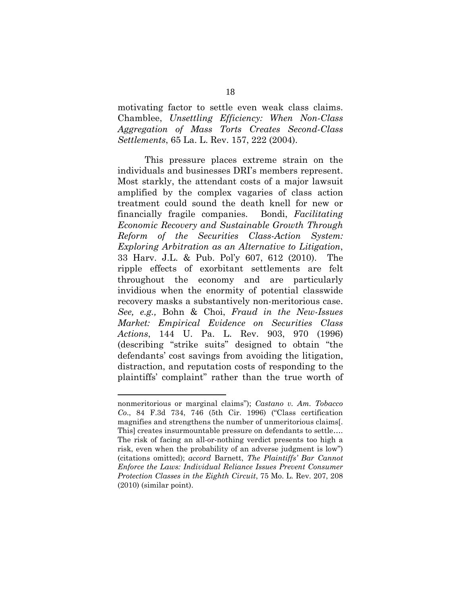motivating factor to settle even weak class claims. Chamblee, *Unsettling Efficiency: When Non-Class Aggregation of Mass Torts Creates Second-Class Settlements*, 65 La. L. Rev. 157, 222 (2004).

This pressure places extreme strain on the individuals and businesses DRI's members represent. Most starkly, the attendant costs of a major lawsuit amplified by the complex vagaries of class action treatment could sound the death knell for new or financially fragile companies. Bondi, *Facilitating Economic Recovery and Sustainable Growth Through Reform of the Securities Class-Action System: Exploring Arbitration as an Alternative to Litigation*, 33 Harv. J.L. & Pub. Pol'y 607, 612 (2010). The ripple effects of exorbitant settlements are felt throughout the economy and are particularly invidious when the enormity of potential classwide recovery masks a substantively non-meritorious case. *See, e.g.,* Bohn & Choi, *Fraud in the New-Issues Market: Empirical Evidence on Securities Class Actions*, 144 U. Pa. L. Rev. 903, 970 (1996) (describing "strike suits" designed to obtain "the defendants' cost savings from avoiding the litigation, distraction, and reputation costs of responding to the plaintiffs' complaint" rather than the true worth of

l

nonmeritorious or marginal claims"); *Castano v. Am. Tobacco Co*., 84 F.3d 734, 746 (5th Cir. 1996) ("Class certification magnifies and strengthens the number of unmeritorious claims[. This] creates insurmountable pressure on defendants to settle.... The risk of facing an all-or-nothing verdict presents too high a risk, even when the probability of an adverse judgment is low") (citations omitted); *accord* Barnett, *The Plaintiffs' Bar Cannot Enforce the Laws: Individual Reliance Issues Prevent Consumer Protection Classes in the Eighth Circuit*, 75 Mo. L. Rev. 207, 208 (2010) (similar point).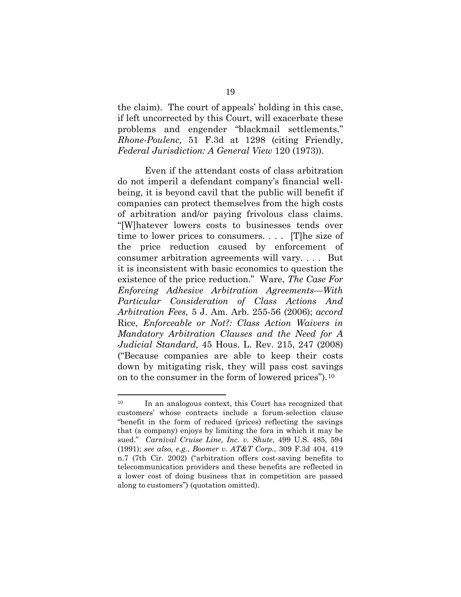the claim). The court of appeals' holding in this case, if left uncorrected by this Court, will exacerbate these problems and engender "blackmail settlements." *Rhone-Poulenc,* 51 F.3d at 1298 (citing Friendly, *Federal Jurisdiction: A General View* 120 (1973)).

Even if the attendant costs of class arbitration do not imperil a defendant company's financial wellbeing, it is beyond cavil that the public will benefit if companies can protect themselves from the high costs of arbitration and/or paying frivolous class claims. "[W]hatever lowers costs to businesses tends over time to lower prices to consumers. . . . [T]he size of the price reduction caused by enforcement of consumer arbitration agreements will vary. . . . But it is inconsistent with basic economics to question the existence of the price reduction." Ware, *The Case For Enforcing Adhesive Arbitration Agreements—With Particular Consideration of Class Actions And Arbitration Fees,* 5 J. Am. Arb. 255-56 (2006); *accord*  Rice, *Enforceable or Not?: Class Action Waivers in Mandatory Arbitration Clauses and the Need for A Judicial Standard,* 45 Hous. L. Rev. 215, 247 (2008) ("Because companies are able to keep their costs down by mitigating risk, they will pass cost savings on to the consumer in the form of lowered prices").[10](#page-27-0)

<span id="page-27-0"></span><sup>&</sup>lt;sup>10</sup> In an analogous context, this Court has recognized that customers' whose contracts include a forum-selection clause "benefit in the form of reduced (prices) reflecting the savings that (a company) enjoys by limiting the fora in which it may be sued." *Carnival Cruise Line, Inc. v. Shute*, 499 U.S. 485, 594 (1991); *see also, e.g.*, *Boomer v. AT&T Corp.*, 309 F.3d 404, 419 n.7 (7th Cir. 2002) ("arbitration offers cost-saving benefits to telecommunication providers and these benefits are reflected in a lower cost of doing business that in competition are passed along to customers") (quotation omitted).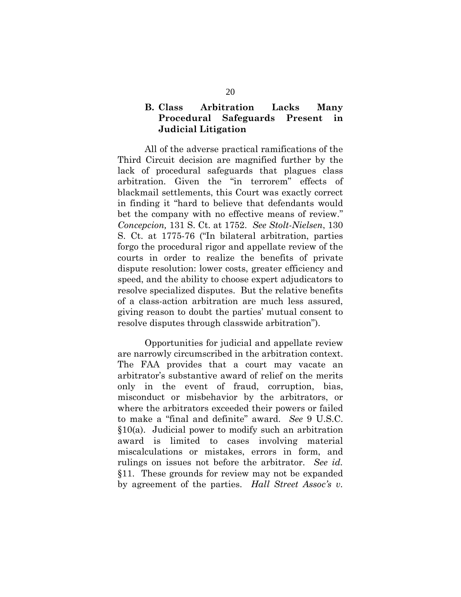### **B. Class Arbitration Lacks Many Procedural Safeguards Present in Judicial Litigation**

All of the adverse practical ramifications of the Third Circuit decision are magnified further by the lack of procedural safeguards that plagues class arbitration. Given the "in terrorem" effects of blackmail settlements, this Court was exactly correct in finding it "hard to believe that defendants would bet the company with no effective means of review." *[Concepcion,](http://www.westlaw.com/Find/Default.wl?rs=dfa1.0&vr=2.0&DB=708&FindType=Y&ReferencePositionType=S&SerialNum=2025172541&ReferencePosition=1752)* [131 S. Ct. at 1752.](http://www.westlaw.com/Find/Default.wl?rs=dfa1.0&vr=2.0&DB=708&FindType=Y&ReferencePositionType=S&SerialNum=2025172541&ReferencePosition=1752) *See Stolt-Nielsen*, 130 S. Ct. at 1775-76 ("In bilateral arbitration, parties forgo the procedural rigor and appellate review of the courts in order to realize the benefits of private dispute resolution: lower costs, greater efficiency and speed, and the ability to choose expert adjudicators to resolve specialized disputes. But the relative benefits of a class-action arbitration are much less assured, giving reason to doubt the parties' mutual consent to resolve disputes through classwide arbitration").

Opportunities for judicial and appellate review are narrowly circumscribed in the arbitration context. The FAA provides that a court may vacate an arbitrator's substantive award of relief on the merits only in the event of fraud, corruption, bias, misconduct or misbehavior by the arbitrators, or where the arbitrators exceeded their powers or failed to make a "final and definite" award. *See* 9 U.S.C. §10(a). Judicial power to modify such an arbitration award is limited to cases involving material miscalculations or mistakes, errors in form, and rulings on issues not before the arbitrator. *See id.*  §11. These grounds for review may not be expanded by agreement of the parties. *Hall Street Assoc's v.*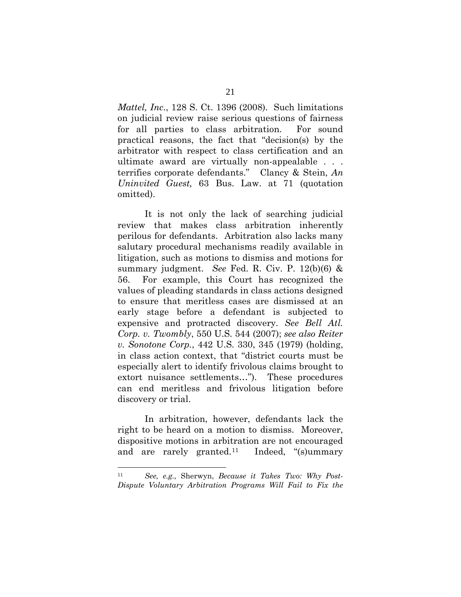*Mattel, Inc*., 128 S. Ct. 1396 (2008). Such limitations on judicial review raise serious questions of fairness for all parties to class arbitration. For sound practical reasons, the fact that "decision(s) by the arbitrator with respect to class certification and an ultimate award are virtually non-appealable . . . terrifies corporate defendants." Clancy & Stein, *An Uninvited Guest,* 63 Bus. Law. at 71 (quotation omitted).

It is not only the lack of searching judicial review that makes class arbitration inherently perilous for defendants. Arbitration also lacks many salutary procedural mechanisms readily available in litigation, such as motions to dismiss and motions for summary judgment. *See* Fed. R. Civ. P. 12(b)(6) & 56. For example, this Court has recognized the values of pleading standards in class actions designed to ensure that meritless cases are dismissed at an early stage before a defendant is subjected to expensive and protracted discovery. *See Bell Atl. Corp. v. Twombly*, 550 U.S. 544 (2007); *see also Reiter v. Sonotone Corp.*, 442 U.S. 330, 345 (1979) (holding, in class action context, that "district courts must be especially alert to identify frivolous claims brought to extort nuisance settlements…"). These procedures can end meritless and frivolous litigation before discovery or trial.

In arbitration, however, defendants lack the right to be heard on a motion to dismiss. Moreover, dispositive motions in arbitration are not encouraged and are rarely granted.<sup>[11](#page-29-0)</sup> Indeed, "(s)ummary

<span id="page-29-0"></span> <sup>11</sup> *See, e.g.,* Sherwyn, *Because it Takes Two: Why Post-Dispute Voluntary Arbitration Programs Will Fail to Fix the*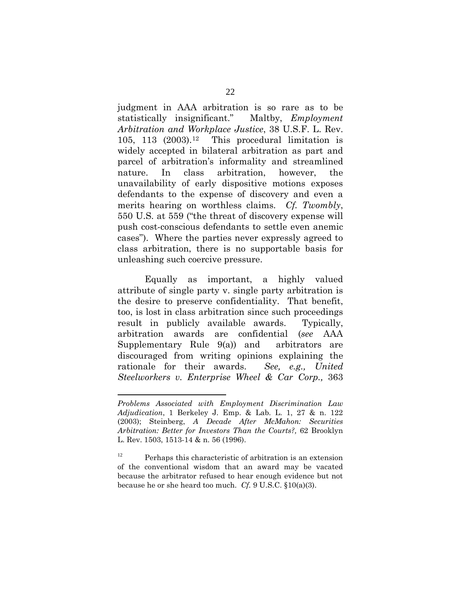judgment in AAA arbitration is so rare as to be statistically insignificant." Maltby, *Employment Arbitration and Workplace Justice*, 38 U.S.F. L. Rev. 105, 113  $(2003).12$  $(2003).12$  This procedural limitation is widely accepted in bilateral arbitration as part and parcel of arbitration's informality and streamlined nature. In class arbitration, however, the unavailability of early dispositive motions exposes defendants to the expense of discovery and even a merits hearing on worthless claims. *Cf. Twombly*, 550 U.S. at 559 ("the threat of discovery expense will push cost-conscious defendants to settle even anemic cases"). Where the parties never expressly agreed to class arbitration, there is no supportable basis for unleashing such coercive pressure.

Equally as important, a highly valued attribute of single party v. single party arbitration is the desire to preserve confidentiality. That benefit, too, is lost in class arbitration since such proceedings result in publicly available awards. Typically, arbitration awards are confidential (*see* AAA Supplementary Rule 9(a)) and arbitrators are discouraged from writing opinions explaining the rationale for their awards. *See, e.g., United Steelworkers v. Enterprise Wheel & Car Corp.,* 363

l

*Problems Associated with Employment Discrimination Law Adjudication*, 1 Berkeley J. Emp. & Lab. L. 1, 27 & n. 122 (2003); Steinberg, *A Decade After McMahon: Securities Arbitration: Better for Investors Than the Courts?,* 62 Brooklyn L. Rev. 1503, 1513-14 & n. 56 (1996).

<span id="page-30-0"></span><sup>&</sup>lt;sup>12</sup> Perhaps this characteristic of arbitration is an extension of the conventional wisdom that an award may be vacated because the arbitrator refused to hear enough evidence but not because he or she heard too much. *Cf.* 9 U.S.C. §10(a)(3).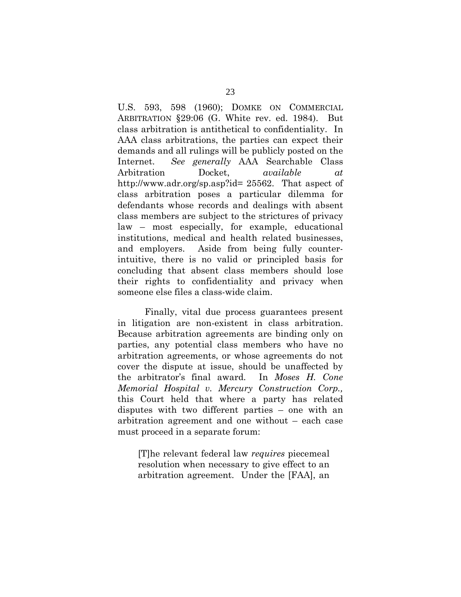U.S. 593, 598 (1960); DOMKE ON COMMERCIAL ARBITRATION §29:06 (G. White rev. ed. 1984). But class arbitration is antithetical to confidentiality. In AAA class arbitrations, the parties can expect their demands and all rulings will be publicly posted on the Internet. *See generally* AAA Searchable Class Arbitration Docket, *available at*  [http://www.adr.org/sp.asp?id= 25562](http://www.adr.org/sp.asp?id=%2025562). That aspect of class arbitration poses a particular dilemma for defendants whose records and dealings with absent class members are subject to the strictures of privacy law – most especially, for example, educational institutions, medical and health related businesses, and employers. Aside from being fully counterintuitive, there is no valid or principled basis for concluding that absent class members should lose their rights to confidentiality and privacy when someone else files a class-wide claim.

Finally, vital due process guarantees present in litigation are non-existent in class arbitration. Because arbitration agreements are binding only on parties, any potential class members who have no arbitration agreements, or whose agreements do not cover the dispute at issue, should be unaffected by the arbitrator's final award. In *Moses H. Cone Memorial Hospital v. Mercury Construction Corp.,*  this Court held that where a party has related disputes with two different parties – one with an arbitration agreement and one without – each case must proceed in a separate forum:

[T]he relevant federal law *requires* piecemeal resolution when necessary to give effect to an arbitration agreement. Under the [FAA], an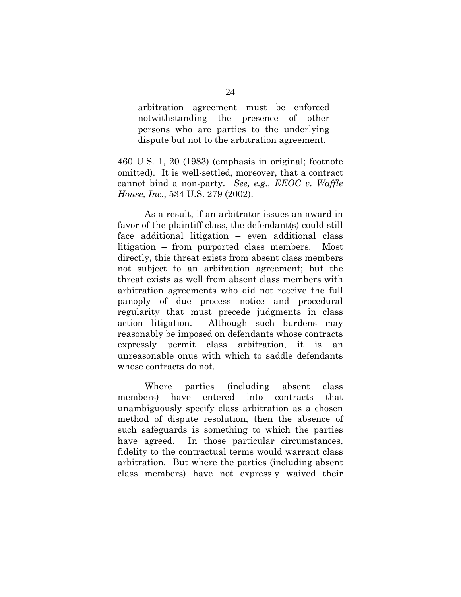arbitration agreement must be enforced notwithstanding the presence of other persons who are parties to the underlying dispute but not to the arbitration agreement.

460 U.S. 1, 20 (1983) (emphasis in original; footnote omitted). It is well-settled, moreover, that a contract cannot bind a non-party. *See, e.g., EEOC v. Waffle House, Inc*., 534 U.S. 279 (2002).

As a result, if an arbitrator issues an award in favor of the plaintiff class, the defendant(s) could still face additional litigation – even additional class litigation – from purported class members. Most directly, this threat exists from absent class members not subject to an arbitration agreement; but the threat exists as well from absent class members with arbitration agreements who did not receive the full panoply of due process notice and procedural regularity that must precede judgments in class action litigation. Although such burdens may reasonably be imposed on defendants whose contracts expressly permit class arbitration, it is an unreasonable onus with which to saddle defendants whose contracts do not.

Where parties (including absent class members) have entered into contracts that unambiguously specify class arbitration as a chosen method of dispute resolution, then the absence of such safeguards is something to which the parties have agreed. In those particular circumstances, fidelity to the contractual terms would warrant class arbitration. But where the parties (including absent class members) have not expressly waived their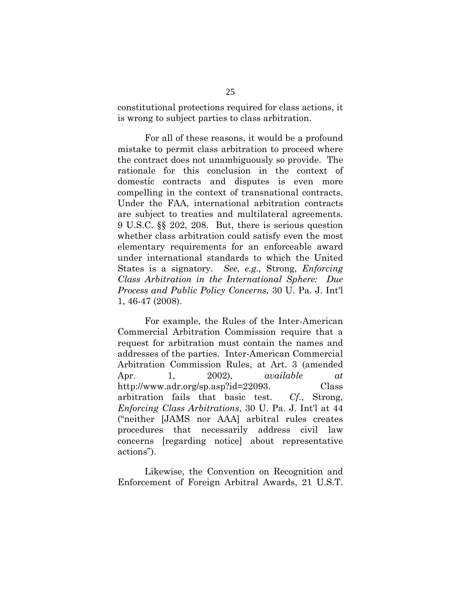constitutional protections required for class actions, it is wrong to subject parties to class arbitration.

For all of these reasons, it would be a profound mistake to permit class arbitration to proceed where the contract does not unambiguously so provide. The rationale for this conclusion in the context of domestic contracts and disputes is even more compelling in the context of transnational contracts. Under the FAA, international arbitration contracts are subject to treaties and multilateral agreements. 9 U.S.C. §§ 202, 208. But, there is serious question whether class arbitration could satisfy even the most elementary requirements for an enforceable award under international standards to which the United States is a signatory. *See, e.g.,* Strong, *Enforcing Class Arbitration in the International Sphere: Due Process and Public Policy Concerns,* 30 U. Pa. J. Int'l 1, 46-47 (2008).

For example, the Rules of the Inter-American Commercial Arbitration Commission require that a request for arbitration must contain the names and addresses of the parties. Inter-American Commercial Arbitration Commission Rules, at Art. 3 (amended Apr. 1, 2002), *available at*  http://www.adr.org/sp.asp?id=22093. Class arbitration fails that basic test. *Cf.*, Strong, *Enforcing Class Arbitrations*, 30 U. Pa. J. Int'l at 44 ("neither [JAMS nor AAA] arbitral rules creates procedures that necessarily address civil law concerns [regarding notice] about representative actions").

Likewise, the Convention on Recognition and Enforcement of Foreign Arbitral Awards, 21 U.S.T.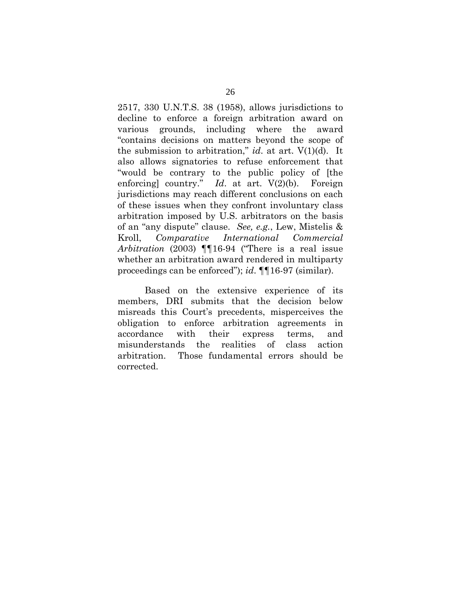2517, 330 U.N.T.S. 38 (1958), allows jurisdictions to decline to enforce a foreign arbitration award on various grounds, including where the award "contains decisions on matters beyond the scope of the submission to arbitration," *id*. at art. V(1)(d). It also allows signatories to refuse enforcement that "would be contrary to the public policy of [the enforcing] country." *Id.* at art.  $V(2)(b)$ . Foreign jurisdictions may reach different conclusions on each of these issues when they confront involuntary class arbitration imposed by U.S. arbitrators on the basis of an "any dispute" clause. *See, e.g.*, Lew, Mistelis & Kroll, *Comparative International Commercial Arbitration* (2003) ¶¶16-94 ("There is a real issue whether an arbitration award rendered in multiparty proceedings can be enforced"); *id*. ¶¶16-97 (similar).

Based on the extensive experience of its members, DRI submits that the decision below misreads this Court's precedents, misperceives the obligation to enforce arbitration agreements in accordance with their express terms, and misunderstands the realities of class action arbitration. Those fundamental errors should be corrected.